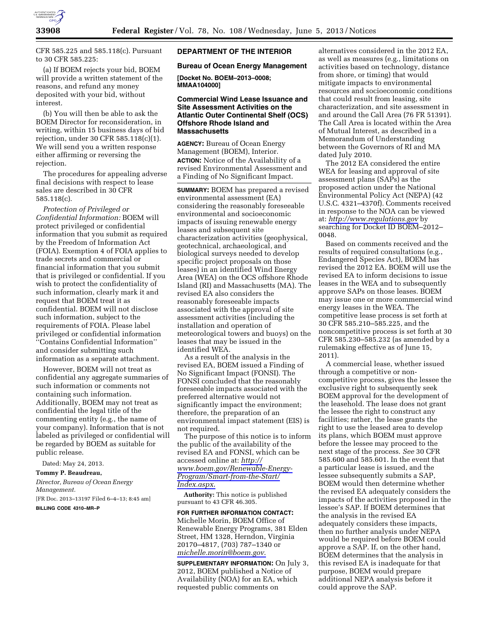

CFR 585.225 and 585.118(c). Pursuant to 30 CFR 585.225:

(a) If BOEM rejects your bid, BOEM will provide a written statement of the reasons, and refund any money deposited with your bid, without interest.

(b) You will then be able to ask the BOEM Director for reconsideration, in writing, within 15 business days of bid rejection, under 30 CFR 585.118(c)(1). We will send you a written response either affirming or reversing the rejection.

The procedures for appealing adverse final decisions with respect to lease sales are described in 30 CFR 585.118(c).

*Protection of Privileged or Confidential Information:* BOEM will protect privileged or confidential information that you submit as required by the Freedom of Information Act (FOIA). Exemption 4 of FOIA applies to trade secrets and commercial or financial information that you submit that is privileged or confidential. If you wish to protect the confidentiality of such information, clearly mark it and request that BOEM treat it as confidential. BOEM will not disclose such information, subject to the requirements of FOIA. Please label privileged or confidential information ''Contains Confidential Information'' and consider submitting such information as a separate attachment.

However, BOEM will not treat as confidential any aggregate summaries of such information or comments not containing such information. Additionally, BOEM may not treat as confidential the legal title of the commenting entity (e.g., the name of your company). Information that is not labeled as privileged or confidential will be regarded by BOEM as suitable for public release.

Dated: May 24, 2013.

## **Tommy P. Beaudreau,**

*Director, Bureau of Ocean Energy Management.*  [FR Doc. 2013–13197 Filed 6–4–13; 8:45 am]

**BILLING CODE 4310–MR–P** 

## **DEPARTMENT OF THE INTERIOR**

## **Bureau of Ocean Energy Management**

**[Docket No. BOEM–2013–0008; MMAA104000]** 

## **Commercial Wind Lease Issuance and Site Assessment Activities on the Atlantic Outer Continental Shelf (OCS) Offshore Rhode Island and Massachusetts**

**AGENCY:** Bureau of Ocean Energy Management (BOEM), Interior. **ACTION:** Notice of the Availability of a revised Environmental Assessment and a Finding of No Significant Impact.

**SUMMARY:** BOEM has prepared a revised environmental assessment (EA) considering the reasonably foreseeable environmental and socioeconomic impacts of issuing renewable energy leases and subsequent site characterization activities (geophysical, geotechnical, archaeological, and biological surveys needed to develop specific project proposals on those leases) in an identified Wind Energy Area (WEA) on the OCS offshore Rhode Island (RI) and Massachusetts (MA). The revised EA also considers the reasonably foreseeable impacts associated with the approval of site assessment activities (including the installation and operation of meteorological towers and buoys) on the leases that may be issued in the identified WEA.

As a result of the analysis in the revised EA, BOEM issued a Finding of No Significant Impact (FONSI). The FONSI concluded that the reasonably foreseeable impacts associated with the preferred alternative would not significantly impact the environment; therefore, the preparation of an environmental impact statement (EIS) is not required.

The purpose of this notice is to inform the public of the availability of the revised EA and FONSI, which can be accessed online at: *[http://](http://www.boem.gov/Renewable-Energy-Program/Smart-from-the-Start/Index.aspx) [www.boem.gov/Renewable-Energy-](http://www.boem.gov/Renewable-Energy-Program/Smart-from-the-Start/Index.aspx)[Program/Smart-from-the-Start/](http://www.boem.gov/Renewable-Energy-Program/Smart-from-the-Start/Index.aspx)  [Index.aspx](http://www.boem.gov/Renewable-Energy-Program/Smart-from-the-Start/Index.aspx)*.

**Authority:** This notice is published pursuant to 43 CFR 46.305.

**FOR FURTHER INFORMATION CONTACT:**  Michelle Morin, BOEM Office of Renewable Energy Programs, 381 Elden Street, HM 1328, Herndon, Virginia 20170–4817, (703) 787–1340 or *[michelle.morin@boem.gov](mailto:michelle.morin@boem.gov)*.

**SUPPLEMENTARY INFORMATION:** On July 3, 2012, BOEM published a Notice of Availability (NOA) for an EA, which requested public comments on

alternatives considered in the 2012 EA, as well as measures (e.g., limitations on activities based on technology, distance from shore, or timing) that would mitigate impacts to environmental resources and socioeconomic conditions that could result from leasing, site characterization, and site assessment in and around the Call Area (76 FR 51391). The Call Area is located within the Area of Mutual Interest, as described in a Memorandum of Understanding between the Governors of RI and MA dated July 2010.

The 2012 EA considered the entire WEA for leasing and approval of site assessment plans (SAPs) as the proposed action under the National Environmental Policy Act (NEPA) (42 U.S.C. 4321–4370f). Comments received in response to the NOA can be viewed at: *<http://www.regulations.gov>*by searching for Docket ID BOEM–2012– 0048.

Based on comments received and the results of required consultations (e.g., Endangered Species Act), BOEM has revised the 2012 EA. BOEM will use the revised EA to inform decisions to issue leases in the WEA and to subsequently approve SAPs on those leases. BOEM may issue one or more commercial wind energy leases in the WEA. The competitive lease process is set forth at 30 CFR 585.210–585.225, and the noncompetitive process is set forth at 30 CFR 585.230–585.232 (as amended by a rulemaking effective as of June 15, 2011).

A commercial lease, whether issued through a competitive or noncompetitive process, gives the lessee the exclusive right to subsequently seek BOEM approval for the development of the leasehold. The lease does not grant the lessee the right to construct any facilities; rather, the lease grants the right to use the leased area to develop its plans, which BOEM must approve before the lessee may proceed to the next stage of the process. *See* 30 CFR 585.600 and 585.601. In the event that a particular lease is issued, and the lessee subsequently submits a SAP, BOEM would then determine whether the revised EA adequately considers the impacts of the activities proposed in the lessee's SAP. If BOEM determines that the analysis in the revised EA adequately considers these impacts, then no further analysis under NEPA would be required before BOEM could approve a SAP. If, on the other hand, BOEM determines that the analysis in this revised EA is inadequate for that purpose, BOEM would prepare additional NEPA analysis before it could approve the SAP.